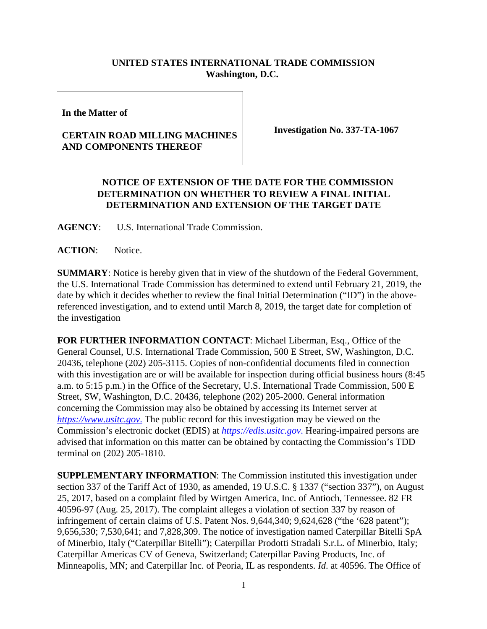## **UNITED STATES INTERNATIONAL TRADE COMMISSION Washington, D.C.**

**In the Matter of**

## **CERTAIN ROAD MILLING MACHINES AND COMPONENTS THEREOF**

**Investigation No. 337-TA-1067**

## **NOTICE OF EXTENSION OF THE DATE FOR THE COMMISSION DETERMINATION ON WHETHER TO REVIEW A FINAL INITIAL DETERMINATION AND EXTENSION OF THE TARGET DATE**

**AGENCY**: U.S. International Trade Commission.

**ACTION**: Notice.

**SUMMARY**: Notice is hereby given that in view of the shutdown of the Federal Government, the U.S. International Trade Commission has determined to extend until February 21, 2019, the date by which it decides whether to review the final Initial Determination ("ID") in the abovereferenced investigation, and to extend until March 8, 2019, the target date for completion of the investigation

**FOR FURTHER INFORMATION CONTACT**: Michael Liberman, Esq., Office of the General Counsel, U.S. International Trade Commission, 500 E Street, SW, Washington, D.C. 20436, telephone (202) 205-3115. Copies of non-confidential documents filed in connection with this investigation are or will be available for inspection during official business hours (8:45) a.m. to 5:15 p.m.) in the Office of the Secretary, U.S. International Trade Commission, 500 E Street, SW, Washington, D.C. 20436, telephone (202) 205-2000. General information concerning the Commission may also be obtained by accessing its Internet server at *[https://www.usitc.gov](https://www.usitc.gov./)*. The public record for this investigation may be viewed on the Commission's electronic docket (EDIS) at *[https://edis.usitc.gov](https://edis.usitc.gov./)*. Hearing-impaired persons are advised that information on this matter can be obtained by contacting the Commission's TDD terminal on (202) 205-1810.

**SUPPLEMENTARY INFORMATION**: The Commission instituted this investigation under section 337 of the Tariff Act of 1930, as amended, 19 U.S.C. § 1337 ("section 337"), on August 25, 2017, based on a complaint filed by Wirtgen America, Inc. of Antioch, Tennessee. 82 FR 40596-97 (Aug. 25, 2017). The complaint alleges a violation of section 337 by reason of infringement of certain claims of U.S. Patent Nos. 9,644,340; 9,624,628 ("the '628 patent"); 9,656,530; 7,530,641; and 7,828,309. The notice of investigation named Caterpillar Bitelli SpA of Minerbio, Italy ("Caterpillar Bitelli"); Caterpillar Prodotti Stradali S.r.L. of Minerbio, Italy; Caterpillar Americas CV of Geneva, Switzerland; Caterpillar Paving Products, Inc. of Minneapolis, MN; and Caterpillar Inc. of Peoria, IL as respondents. *Id*. at 40596. The Office of